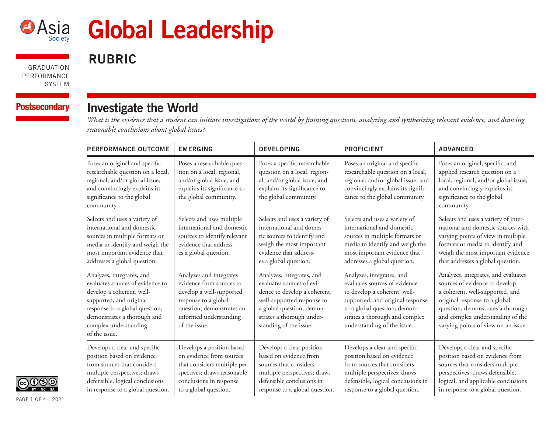

# **Global Leadership**

GRADUATION PERFORMANCE SYSTEM

## Postsecondary **Investigate the World**

**RUBRIC**

*What is the evidence that a student can initiate investigations of the world by framing questions, analyzing and synthesizing relevant evidence, and drawing reasonable conclusions about global issues?* 

| <b>PERFORMANCE OUTCOME</b>                                                                                                                                                                                                       | <b>EMERGING</b>                                                                                                                                                                 | <b>DEVELOPING</b>                                                                                                                                                                                        | <b>PROFICIENT</b>                                                                                                                                                                                                               | <b>ADVANCED</b>                                                                                                                                                                                                                                           |
|----------------------------------------------------------------------------------------------------------------------------------------------------------------------------------------------------------------------------------|---------------------------------------------------------------------------------------------------------------------------------------------------------------------------------|----------------------------------------------------------------------------------------------------------------------------------------------------------------------------------------------------------|---------------------------------------------------------------------------------------------------------------------------------------------------------------------------------------------------------------------------------|-----------------------------------------------------------------------------------------------------------------------------------------------------------------------------------------------------------------------------------------------------------|
| Poses an original and specific<br>researchable question on a local,<br>regional, and/or global issue;<br>and convincingly explains its<br>significance to the global<br>community.                                               | Poses a researchable ques-<br>tion on a local, regional,<br>and/or global issue; and<br>explains its significance to<br>the global community.                                   | Poses a specific researchable<br>question on a local, region-<br>al, and/or global issue; and<br>explains its significance to<br>the global community.                                                   | Poses an original and specific<br>researchable question on a local,<br>regional, and/or global issue; and<br>convincingly explains its signifi-<br>cance to the global community.                                               | Poses an original, specific, and<br>applied research question on a<br>local, regional, and/or global issue;<br>and convincingly explains its<br>significance to the global<br>community.                                                                  |
| Selects and uses a variety of<br>international and domestic<br>sources in multiple formats or<br>media to identify and weigh the<br>most important evidence that<br>addresses a global question.                                 | Selects and uses multiple<br>international and domestic<br>sources to identify relevant<br>evidence that address-<br>es a global question.                                      | Selects and uses a variety of<br>international and domes-<br>tic sources to identify and<br>weigh the most important<br>evidence that address-<br>es a global question.                                  | Selects and uses a variety of<br>international and domestic<br>sources in multiple formats or<br>media to identify and weigh the<br>most important evidence that<br>addresses a global question.                                | Selects and uses a variety of inter-<br>national and domestic sources with<br>varying points of view in multiple<br>formats or media to identify and<br>weigh the most important evidence<br>that addresses a global question.                            |
| Analyzes, integrates, and<br>evaluates sources of evidence to<br>develop a coherent, well-<br>supported, and original<br>response to a global question;<br>demonstrates a thorough and<br>complex understanding<br>of the issue. | Analyzes and integrates<br>evidence from sources to<br>develop a well-supported<br>response to a global<br>question; demonstrates an<br>informed understanding<br>of the issue. | Analyzes, integrates, and<br>evaluates sources of evi-<br>dence to develop a coherent,<br>well-supported response to<br>a global question; demon-<br>strates a thorough under-<br>standing of the issue. | Analyzes, integrates, and<br>evaluates sources of evidence<br>to develop a coherent, well-<br>supported, and original response<br>to a global question; demon-<br>strates a thorough and complex<br>understanding of the issue. | Analyzes, integrates, and evaluates<br>sources of evidence to develop<br>a coherent, well-supported, and<br>original response to a global<br>question; demonstrates a thorough<br>and complex understanding of the<br>varying points of view on an issue. |
| Develops a clear and specific<br>position based on evidence<br>from sources that considers<br>multiple perspectives; draws<br>defensible, logical conclusions<br>in response to a global question.                               | Develops a position based<br>on evidence from sources<br>that considers multiple per-<br>spectives; draws reasonable<br>conclusions in response<br>to a global question.        | Develops a clear position<br>based on evidence from<br>sources that considers<br>multiple perspectives; draws<br>defensible conclusions in<br>response to a global question.                             | Develops a clear and specific<br>position based on evidence<br>from sources that considers<br>multiple perspectives; draws<br>defensible, logical conclusions in<br>response to a global question.                              | Develops a clear and specific<br>position based on evidence from<br>sources that considers multiple<br>perspectives; draws defensible,<br>logical, and applicable conclusions<br>in response to a global question.                                        |



PAGE 1 OF 4 | 2021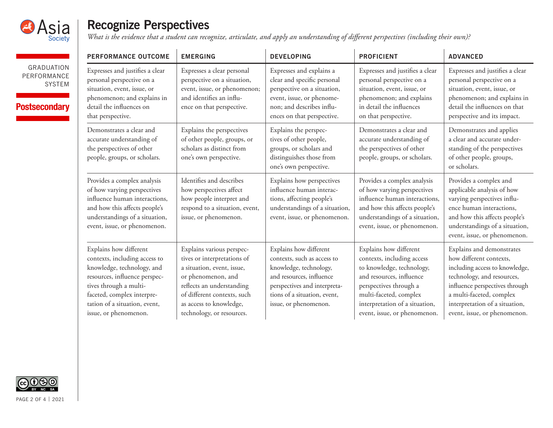

### **Recognize Perspectives**

*What is the evidence that a student can recognize, articulate, and apply an understanding of different perspectives (including their own)?*

|                                                                    | <b>PERFORMANCE OUTCOME</b>                                                                                                                                                                                                               | <b>EMERGING</b>                                                                                                                                                                                                                  | <b>DEVELOPING</b>                                                                                                                                                                                    | <b>PROFICIENT</b>                                                                                                                                                                                                                   | <b>ADVANCED</b>                                                                                                                                                                                                                                      |
|--------------------------------------------------------------------|------------------------------------------------------------------------------------------------------------------------------------------------------------------------------------------------------------------------------------------|----------------------------------------------------------------------------------------------------------------------------------------------------------------------------------------------------------------------------------|------------------------------------------------------------------------------------------------------------------------------------------------------------------------------------------------------|-------------------------------------------------------------------------------------------------------------------------------------------------------------------------------------------------------------------------------------|------------------------------------------------------------------------------------------------------------------------------------------------------------------------------------------------------------------------------------------------------|
| <b>GRADUATION</b><br>PERFORMANCE<br>SYSTEM<br><b>Postsecondary</b> | Expresses and justifies a clear<br>personal perspective on a<br>situation, event, issue, or<br>phenomenon; and explains in<br>detail the influences on<br>that perspective.                                                              | Expresses a clear personal<br>perspective on a situation,<br>event, issue, or phenomenon;<br>and identifies an influ-<br>ence on that perspective.                                                                               | Expresses and explains a<br>clear and specific personal<br>perspective on a situation,<br>event, issue, or phenome-<br>non; and describes influ-<br>ences on that perspective.                       | Expresses and justifies a clear<br>personal perspective on a<br>situation, event, issue, or<br>phenomenon; and explains<br>in detail the influences<br>on that perspective.                                                         | Expresses and justifies a clear<br>personal perspective on a<br>situation, event, issue, or<br>phenomenon; and explains in<br>detail the influences on that<br>perspective and its impact.                                                           |
|                                                                    | Demonstrates a clear and<br>accurate understanding of<br>the perspectives of other<br>people, groups, or scholars.                                                                                                                       | Explains the perspectives<br>of other people, groups, or<br>scholars as distinct from<br>one's own perspective.                                                                                                                  | Explains the perspec-<br>tives of other people,<br>groups, or scholars and<br>distinguishes those from<br>one's own perspective.                                                                     | Demonstrates a clear and<br>accurate understanding of<br>the perspectives of other<br>people, groups, or scholars.                                                                                                                  | Demonstrates and applies<br>a clear and accurate under-<br>standing of the perspectives<br>of other people, groups,<br>or scholars.                                                                                                                  |
|                                                                    | Provides a complex analysis<br>of how varying perspectives<br>influence human interactions,<br>and how this affects people's<br>understandings of a situation,<br>event, issue, or phenomenon.                                           | Identifies and describes<br>how perspectives affect<br>how people interpret and<br>respond to a situation, event,<br>issue, or phenomenon.                                                                                       | Explains how perspectives<br>influence human interac-<br>tions, affecting people's<br>understandings of a situation,<br>event, issue, or phenomenon.                                                 | Provides a complex analysis<br>of how varying perspectives<br>influence human interactions,<br>and how this affects people's<br>understandings of a situation,<br>event, issue, or phenomenon.                                      | Provides a complex and<br>applicable analysis of how<br>varying perspectives influ-<br>ence human interactions,<br>and how this affects people's<br>understandings of a situation,<br>event, issue, or phenomenon.                                   |
|                                                                    | Explains how different<br>contexts, including access to<br>knowledge, technology, and<br>resources, influence perspec-<br>tives through a multi-<br>faceted, complex interpre-<br>tation of a situation, event,<br>issue, or phenomenon. | Explains various perspec-<br>tives or interpretations of<br>a situation, event, issue,<br>or phenomenon, and<br>reflects an understanding<br>of different contexts, such<br>as access to knowledge,<br>technology, or resources. | Explains how different<br>contexts, such as access to<br>knowledge, technology,<br>and resources, influence<br>perspectives and interpreta-<br>tions of a situation, event,<br>issue, or phenomenon. | Explains how different<br>contexts, including access<br>to knowledge, technology,<br>and resources, influence<br>perspectives through a<br>multi-faceted, complex<br>interpretation of a situation,<br>event, issue, or phenomenon. | Explains and demonstrates<br>how different contexts,<br>including access to knowledge,<br>technology, and resources,<br>influence perspectives through<br>a multi-faceted, complex<br>interpretation of a situation,<br>event, issue, or phenomenon. |

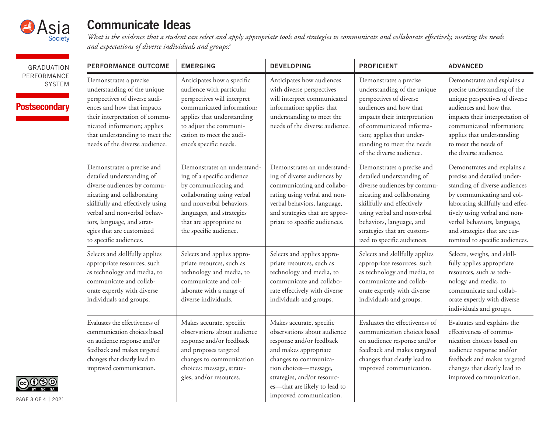

#### **Communicate Ideas**

*What is the evidence that a student can select and apply appropriate tools and strategies to communicate and collaborate effectively, meeting the needs and expectations of diverse individuals and groups?*

| <b>GRADUATION</b>                             | PERFORMANCE OUTCOME                                                                                                                                                                                                                                                          | <b>EMERGING</b>                                                                                                                                                                                                                  | <b>DEVELOPING</b>                                                                                                                                                                                                                                         | <b>PROFICIENT</b>                                                                                                                                                                                                                                                          | <b>ADVANCED</b>                                                                                                                                                                                                                                                                               |
|-----------------------------------------------|------------------------------------------------------------------------------------------------------------------------------------------------------------------------------------------------------------------------------------------------------------------------------|----------------------------------------------------------------------------------------------------------------------------------------------------------------------------------------------------------------------------------|-----------------------------------------------------------------------------------------------------------------------------------------------------------------------------------------------------------------------------------------------------------|----------------------------------------------------------------------------------------------------------------------------------------------------------------------------------------------------------------------------------------------------------------------------|-----------------------------------------------------------------------------------------------------------------------------------------------------------------------------------------------------------------------------------------------------------------------------------------------|
| PERFORMANCE<br>SYSTEM<br><b>Postsecondary</b> | Demonstrates a precise<br>understanding of the unique<br>perspectives of diverse audi-<br>ences and how that impacts<br>their interpretation of commu-<br>nicated information; applies<br>that understanding to meet the<br>needs of the diverse audience.                   | Anticipates how a specific<br>audience with particular<br>perspectives will interpret<br>communicated information;<br>applies that understanding<br>to adjust the communi-<br>cation to meet the audi-<br>ence's specific needs. | Anticipates how audiences<br>with diverse perspectives<br>will interpret communicated<br>information; applies that<br>understanding to meet the<br>needs of the diverse audience.                                                                         | Demonstrates a precise<br>understanding of the unique<br>perspectives of diverse<br>audiences and how that<br>impacts their interpretation<br>of communicated informa-<br>tion; applies that under-<br>standing to meet the needs<br>of the diverse audience.              | Demonstrates and explains a<br>precise understanding of the<br>unique perspectives of diverse<br>audiences and how that<br>impacts their interpretation of<br>communicated information;<br>applies that understanding<br>to meet the needs of<br>the diverse audience.                        |
| PAGE 3 OF 4   2021                            | Demonstrates a precise and<br>detailed understanding of<br>diverse audiences by commu-<br>nicating and collaborating<br>skillfully and effectively using<br>verbal and nonverbal behav-<br>iors, language, and strat-<br>egies that are customized<br>to specific audiences. | Demonstrates an understand-<br>ing of a specific audience<br>by communicating and<br>collaborating using verbal<br>and nonverbal behaviors,<br>languages, and strategies<br>that are appropriate to<br>the specific audience.    | Demonstrates an understand-<br>ing of diverse audiences by<br>communicating and collabo-<br>rating using verbal and non-<br>verbal behaviors, language,<br>and strategies that are appro-<br>priate to specific audiences.                                | Demonstrates a precise and<br>detailed understanding of<br>diverse audiences by commu-<br>nicating and collaborating<br>skillfully and effectively<br>using verbal and nonverbal<br>behaviors, language, and<br>strategies that are custom-<br>ized to specific audiences. | Demonstrates and explains a<br>precise and detailed under-<br>standing of diverse audiences<br>by communicating and col-<br>laborating skillfully and effec-<br>tively using verbal and non-<br>verbal behaviors, language,<br>and strategies that are cus-<br>tomized to specific audiences. |
|                                               | Selects and skillfully applies<br>appropriate resources, such<br>as technology and media, to<br>communicate and collab-<br>orate expertly with diverse<br>individuals and groups.                                                                                            | Selects and applies appro-<br>priate resources, such as<br>technology and media, to<br>communicate and col-<br>laborate with a range of<br>diverse individuals.                                                                  | Selects and applies appro-<br>priate resources, such as<br>technology and media, to<br>communicate and collabo-<br>rate effectively with diverse<br>individuals and groups.                                                                               | Selects and skillfully applies<br>appropriate resources, such<br>as technology and media, to<br>communicate and collab-<br>orate expertly with diverse<br>individuals and groups.                                                                                          | Selects, weighs, and skill-<br>fully applies appropriate<br>resources, such as tech-<br>nology and media, to<br>communicate and collab-<br>orate expertly with diverse<br>individuals and groups.                                                                                             |
|                                               | Evaluates the effectiveness of<br>communication choices based<br>on audience response and/or<br>feedback and makes targeted<br>changes that clearly lead to<br>improved communication.                                                                                       | Makes accurate, specific<br>observations about audience<br>response and/or feedback<br>and proposes targeted<br>changes to communication<br>choices: message, strate-<br>gies, and/or resources.                                 | Makes accurate, specific<br>observations about audience<br>response and/or feedback<br>and makes appropriate<br>changes to communica-<br>tion choices-message,<br>strategies, and/or resourc-<br>es-that are likely to lead to<br>improved communication. | Evaluates the effectiveness of<br>communication choices based<br>on audience response and/or<br>feedback and makes targeted<br>changes that clearly lead to<br>improved communication.                                                                                     | Evaluates and explains the<br>effectiveness of commu-<br>nication choices based on<br>audience response and/or<br>feedback and makes targeted<br>changes that clearly lead to<br>improved communication.                                                                                      |